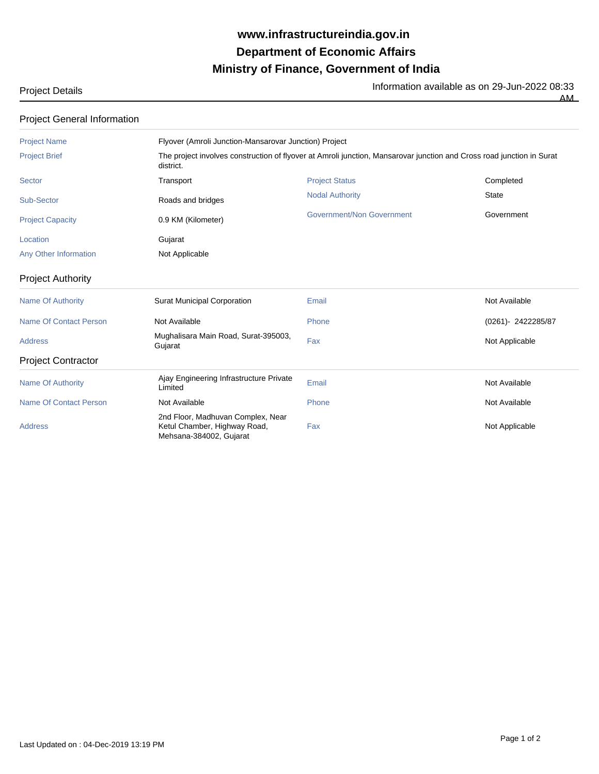## **Ministry of Finance, Government of India Department of Economic Affairs www.infrastructureindia.gov.in**

Project Details **Information available as on 29-Jun-2022 08:33** 

 $\overline{AM}$ 

| <b>Project General Information</b> |                                                                                                                                    |                                  |                   |  |  |
|------------------------------------|------------------------------------------------------------------------------------------------------------------------------------|----------------------------------|-------------------|--|--|
| <b>Project Name</b>                | Flyover (Amroli Junction-Mansarovar Junction) Project                                                                              |                                  |                   |  |  |
| <b>Project Brief</b>               | The project involves construction of flyover at Amroli junction, Mansarovar junction and Cross road junction in Surat<br>district. |                                  |                   |  |  |
| Sector                             | Transport                                                                                                                          | <b>Project Status</b>            | Completed         |  |  |
| Sub-Sector                         | Roads and bridges                                                                                                                  | <b>Nodal Authority</b>           | <b>State</b>      |  |  |
| <b>Project Capacity</b>            | 0.9 KM (Kilometer)                                                                                                                 | <b>Government/Non Government</b> | Government        |  |  |
| Location                           | Gujarat                                                                                                                            |                                  |                   |  |  |
| Any Other Information              | Not Applicable                                                                                                                     |                                  |                   |  |  |
| <b>Project Authority</b>           |                                                                                                                                    |                                  |                   |  |  |
| <b>Name Of Authority</b>           | <b>Surat Municipal Corporation</b>                                                                                                 | Email                            | Not Available     |  |  |
| <b>Name Of Contact Person</b>      | Not Available                                                                                                                      | Phone                            | (0261)-2422285/87 |  |  |
| <b>Address</b>                     | Mughalisara Main Road, Surat-395003,<br>Gujarat                                                                                    | Fax                              | Not Applicable    |  |  |
| <b>Project Contractor</b>          |                                                                                                                                    |                                  |                   |  |  |
| <b>Name Of Authority</b>           | Ajay Engineering Infrastructure Private<br>Limited                                                                                 | Email                            | Not Available     |  |  |
| <b>Name Of Contact Person</b>      | Not Available                                                                                                                      | Phone                            | Not Available     |  |  |
| <b>Address</b>                     | 2nd Floor, Madhuvan Complex, Near<br>Ketul Chamber, Highway Road,<br>Mehsana-384002, Gujarat                                       | Fax                              | Not Applicable    |  |  |

Last Updated on : 04-Dec-2019 13:19 PM